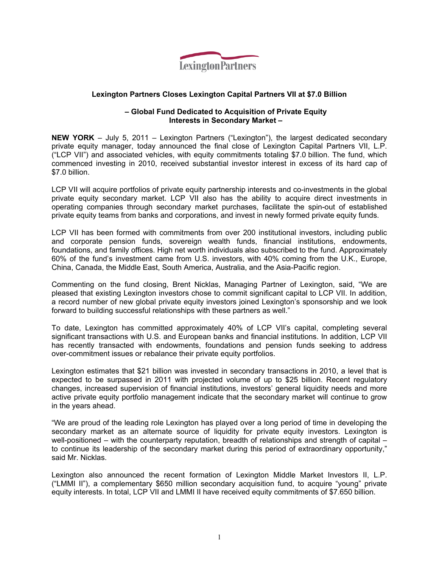

## **Lexington Partners Closes Lexington Capital Partners VII at \$7.0 Billion**

### **– Global Fund Dedicated to Acquisition of Private Equity Interests in Secondary Market –**

**NEW YORK** – July 5, 2011 – Lexington Partners ("Lexington"), the largest dedicated secondary private equity manager, today announced the final close of Lexington Capital Partners VII, L.P. ("LCP VII") and associated vehicles, with equity commitments totaling \$7.0 billion. The fund, which commenced investing in 2010, received substantial investor interest in excess of its hard cap of \$7.0 billion.

LCP VII will acquire portfolios of private equity partnership interests and co-investments in the global private equity secondary market. LCP VII also has the ability to acquire direct investments in operating companies through secondary market purchases, facilitate the spin-out of established private equity teams from banks and corporations, and invest in newly formed private equity funds.

LCP VII has been formed with commitments from over 200 institutional investors, including public and corporate pension funds, sovereign wealth funds, financial institutions, endowments, foundations, and family offices. High net worth individuals also subscribed to the fund. Approximately 60% of the fund's investment came from U.S. investors, with 40% coming from the U.K., Europe, China, Canada, the Middle East, South America, Australia, and the Asia-Pacific region.

Commenting on the fund closing, Brent Nicklas, Managing Partner of Lexington, said, "We are pleased that existing Lexington investors chose to commit significant capital to LCP VII. In addition, a record number of new global private equity investors joined Lexington's sponsorship and we look forward to building successful relationships with these partners as well."

To date, Lexington has committed approximately 40% of LCP VII's capital, completing several significant transactions with U.S. and European banks and financial institutions. In addition, LCP VII has recently transacted with endowments, foundations and pension funds seeking to address over-commitment issues or rebalance their private equity portfolios.

Lexington estimates that \$21 billion was invested in secondary transactions in 2010, a level that is expected to be surpassed in 2011 with projected volume of up to \$25 billion. Recent regulatory changes, increased supervision of financial institutions, investors' general liquidity needs and more active private equity portfolio management indicate that the secondary market will continue to grow in the years ahead.

"We are proud of the leading role Lexington has played over a long period of time in developing the secondary market as an alternate source of liquidity for private equity investors. Lexington is well-positioned – with the counterparty reputation, breadth of relationships and strength of capital – to continue its leadership of the secondary market during this period of extraordinary opportunity," said Mr. Nicklas.

Lexington also announced the recent formation of Lexington Middle Market Investors II, L.P. ("LMMI II"), a complementary \$650 million secondary acquisition fund, to acquire "young" private equity interests. In total, LCP VII and LMMI II have received equity commitments of \$7.650 billion.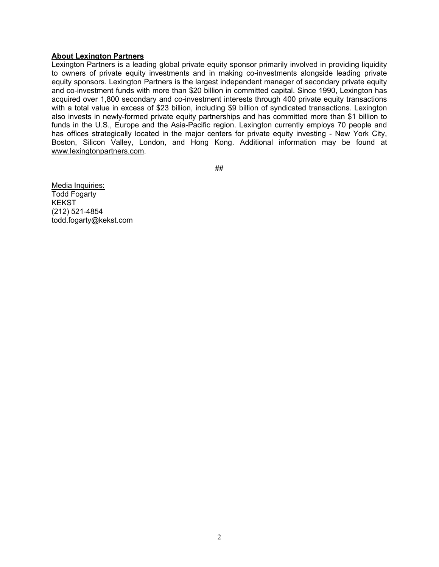#### **About Lexington Partners**

Lexington Partners is a leading global private equity sponsor primarily involved in providing liquidity to owners of private equity investments and in making co-investments alongside leading private equity sponsors. Lexington Partners is the largest independent manager of secondary private equity and co-investment funds with more than \$20 billion in committed capital. Since 1990, Lexington has acquired over 1,800 secondary and co-investment interests through 400 private equity transactions with a total value in excess of \$23 billion, including \$9 billion of syndicated transactions. Lexington also invests in newly-formed private equity partnerships and has committed more than \$1 billion to funds in the U.S., Europe and the Asia-Pacific region. Lexington currently employs 70 people and has offices strategically located in the major centers for private equity investing - New York City, Boston, Silicon Valley, London, and Hong Kong. Additional information may be found at www.lexingtonpartners.com.

##

Media Inquiries: Todd Fogarty **KEKST** (212) 521-4854 todd.fogarty@kekst.com